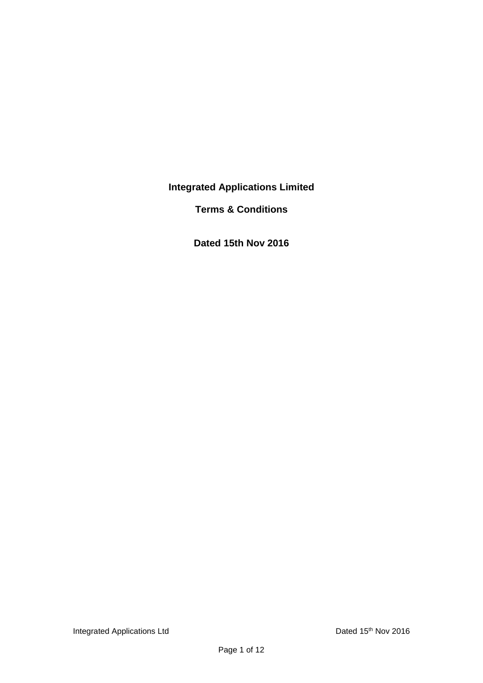**Integrated Applications Limited**

**Terms & Conditions**

**Dated 15th Nov 2016**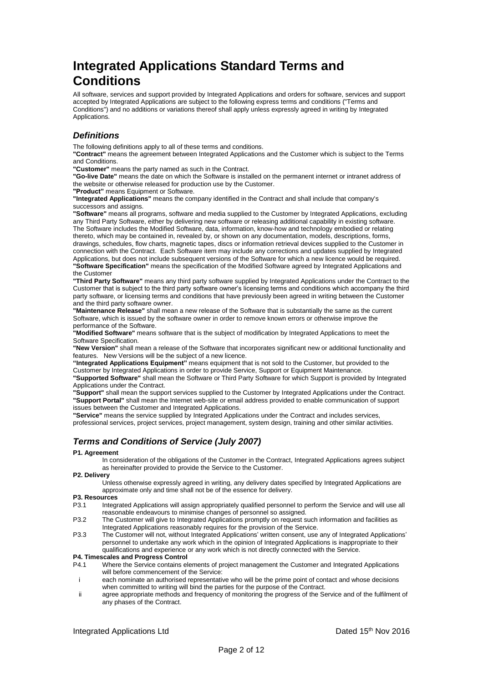# **Integrated Applications Standard Terms and Conditions**

All software, services and support provided by Integrated Applications and orders for software, services and support accepted by Integrated Applications are subject to the following express terms and conditions ("Terms and Conditions") and no additions or variations thereof shall apply unless expressly agreed in writing by Integrated Applications.

# *Definitions*

The following definitions apply to all of these terms and conditions.

**"Contract"** means the agreement between Integrated Applications and the Customer which is subject to the Terms and Conditions.

**"Customer"** means the party named as such in the Contract.

**"Go-live Date"** means the date on which the Software is installed on the permanent internet or intranet address of the website or otherwise released for production use by the Customer.

**"Product"** means Equipment or Software.

**"Integrated Applications"** means the company identified in the Contract and shall include that company's successors and assigns.

**"Software"** means all programs, software and media supplied to the Customer by Integrated Applications, excluding any Third Party Software, either by delivering new software or releasing additional capability in existing software. The Software includes the Modified Software, data, information, know-how and technology embodied or relating thereto, which may be contained in, revealed by, or shown on any documentation, models, descriptions, forms, drawings, schedules, flow charts, magnetic tapes, discs or information retrieval devices supplied to the Customer in connection with the Contract. Each Software item may include any corrections and updates supplied by Integrated Applications, but does not include subsequent versions of the Software for which a new licence would be required. **"Software Specification"** means the specification of the Modified Software agreed by Integrated Applications and the Customer

**"Third Party Software"** means any third party software supplied by Integrated Applications under the Contract to the Customer that is subject to the third party software owner's licensing terms and conditions which accompany the third party software, or licensing terms and conditions that have previously been agreed in writing between the Customer and the third party software owner.

**"Maintenance Release"** shall mean a new release of the Software that is substantially the same as the current Software, which is issued by the software owner in order to remove known errors or otherwise improve the performance of the Software.

**"Modified Software"** means software that is the subject of modification by Integrated Applications to meet the Software Specification.

**"New Version"** shall mean a release of the Software that incorporates significant new or additional functionality and features. New Versions will be the subject of a new licence.

**"Integrated Applications Equipment"** means equipment that is not sold to the Customer, but provided to the Customer by Integrated Applications in order to provide Service, Support or Equipment Maintenance. **"Supported Software"** shall mean the Software or Third Party Software for which Support is provided by Integrated Applications under the Contract.

**"Support"** shall mean the support services supplied to the Customer by Integrated Applications under the Contract. **"Support Portal"** shall mean the Internet web-site or email address provided to enable communication of support issues between the Customer and Integrated Applications.

**"Service"** means the service supplied by Integrated Applications under the Contract and includes services, professional services, project services, project management, system design, training and other similar activities.

# *Terms and Conditions of Service (July 2007)*

## **P1. Agreement**

In consideration of the obligations of the Customer in the Contract, Integrated Applications agrees subject as hereinafter provided to provide the Service to the Customer.

### **P2. Delivery**

Unless otherwise expressly agreed in writing, any delivery dates specified by Integrated Applications are approximate only and time shall not be of the essence for delivery.

### **P3. Resources**

- P3.1 Integrated Applications will assign appropriately qualified personnel to perform the Service and will use all reasonable endeavours to minimise changes of personnel so assigned.
- P3.2 The Customer will give to Integrated Applications promptly on request such information and facilities as Integrated Applications reasonably requires for the provision of the Service.
- P3.3 The Customer will not, without Integrated Applications' written consent, use any of Integrated Applications' personnel to undertake any work which in the opinion of Integrated Applications is inappropriate to their qualifications and experience or any work which is not directly connected with the Service.

# **P4. Timescales and Progress Control**

- Where the Service contains elements of project management the Customer and Integrated Applications will before commencement of the Service:
- i each nominate an authorised representative who will be the prime point of contact and whose decisions when committed to writing will bind the parties for the purpose of the Contract.
- ii agree appropriate methods and frequency of monitoring the progress of the Service and of the fulfilment of any phases of the Contract.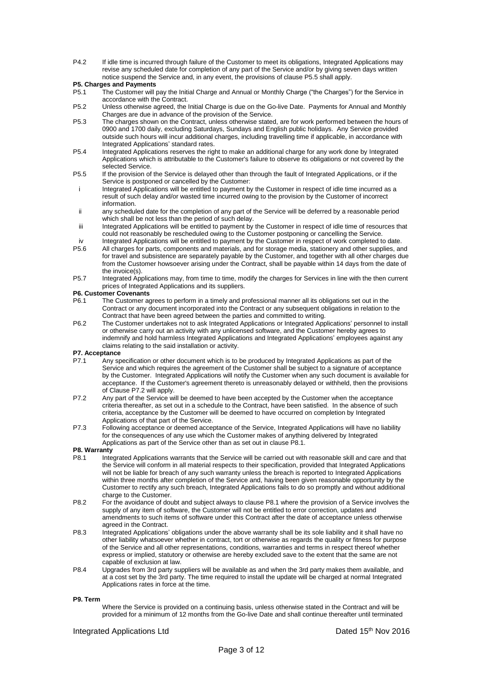P4.2 If idle time is incurred through failure of the Customer to meet its obligations, Integrated Applications may revise any scheduled date for completion of any part of the Service and/or by giving seven days written notice suspend the Service and, in any event, the provisions of clause P5.5 shall apply.

### **P5. Charges and Payments**

- P5.1 The Customer will pay the Initial Charge and Annual or Monthly Charge ("the Charges") for the Service in accordance with the Contract.
- P5.2 Unless otherwise agreed, the Initial Charge is due on the Go-live Date. Payments for Annual and Monthly Charges are due in advance of the provision of the Service.
- P5.3 The charges shown on the Contract, unless otherwise stated, are for work performed between the hours of 0900 and 1700 daily, excluding Saturdays, Sundays and English public holidays. Any Service provided outside such hours will incur additional charges, including travelling time if applicable, in accordance with Integrated Applications' standard rates.
- P5.4 Integrated Applications reserves the right to make an additional charge for any work done by Integrated Applications which is attributable to the Customer's failure to observe its obligations or not covered by the selected Service.
- P5.5 If the provision of the Service is delayed other than through the fault of Integrated Applications, or if the Service is postponed or cancelled by the Customer:
- i Integrated Applications will be entitled to payment by the Customer in respect of idle time incurred as a result of such delay and/or wasted time incurred owing to the provision by the Customer of incorrect information.
- ii any scheduled date for the completion of any part of the Service will be deferred by a reasonable period which shall be not less than the period of such delay.
- iii Integrated Applications will be entitled to payment by the Customer in respect of idle time of resources that could not reasonably be rescheduled owing to the Customer postponing or cancelling the Service.
- iv Integrated Applications will be entitled to payment by the Customer in respect of work completed to date.<br>P5.6 All charges for parts, components and materials, and for storage media, stationery and other supplies, ar
- All charges for parts, components and materials, and for storage media, stationery and other supplies, and for travel and subsistence are separately payable by the Customer, and together with all other charges due from the Customer howsoever arising under the Contract, shall be payable within 14 days from the date of the invoice(s).
- P5.7 Integrated Applications may, from time to time, modify the charges for Services in line with the then current prices of Integrated Applications and its suppliers.

# **P6. Customer Covenants**<br>P6.1 The Customer ad

- The Customer agrees to perform in a timely and professional manner all its obligations set out in the Contract or any document incorporated into the Contract or any subsequent obligations in relation to the Contract that have been agreed between the parties and committed to writing.
- P6.2 The Customer undertakes not to ask Integrated Applications or Integrated Applications' personnel to install or otherwise carry out an activity with any unlicensed software, and the Customer hereby agrees to indemnify and hold harmless Integrated Applications and Integrated Applications' employees against any claims relating to the said installation or activity.

# **P7. Acceptance**

- Any specification or other document which is to be produced by Integrated Applications as part of the Service and which requires the agreement of the Customer shall be subject to a signature of acceptance by the Customer. Integrated Applications will notify the Customer when any such document is available for acceptance. If the Customer's agreement thereto is unreasonably delayed or withheld, then the provisions of Clause P7.2 will apply.
- P7.2 Any part of the Service will be deemed to have been accepted by the Customer when the acceptance criteria thereafter, as set out in a schedule to the Contract, have been satisfied. In the absence of such criteria, acceptance by the Customer will be deemed to have occurred on completion by Integrated Applications of that part of the Service.
- P7.3 Following acceptance or deemed acceptance of the Service, Integrated Applications will have no liability for the consequences of any use which the Customer makes of anything delivered by Integrated Applications as part of the Service other than as set out in clause P8.1.

# **P8. Warranty**

- Integrated Applications warrants that the Service will be carried out with reasonable skill and care and that the Service will conform in all material respects to their specification, provided that Integrated Applications will not be liable for breach of any such warranty unless the breach is reported to Integrated Applications within three months after completion of the Service and, having been given reasonable opportunity by the Customer to rectify any such breach, Integrated Applications fails to do so promptly and without additional charge to the Customer.
- P8.2 For the avoidance of doubt and subject always to clause P8.1 where the provision of a Service involves the supply of any item of software, the Customer will not be entitled to error correction, updates and amendments to such items of software under this Contract after the date of acceptance unless otherwise agreed in the Contract.
- P8.3 Integrated Applications' obligations under the above warranty shall be its sole liability and it shall have no other liability whatsoever whether in contract, tort or otherwise as regards the quality or fitness for purpose of the Service and all other representations, conditions, warranties and terms in respect thereof whether express or implied, statutory or otherwise are hereby excluded save to the extent that the same are not capable of exclusion at law.
- P8.4 Upgrades from 3rd party suppliers will be available as and when the 3rd party makes them available, and at a cost set by the 3rd party. The time required to install the update will be charged at normal Integrated Applications rates in force at the time.

#### **P9. Term**

Where the Service is provided on a continuing basis, unless otherwise stated in the Contract and will be provided for a minimum of 12 months from the Go-live Date and shall continue thereafter until terminated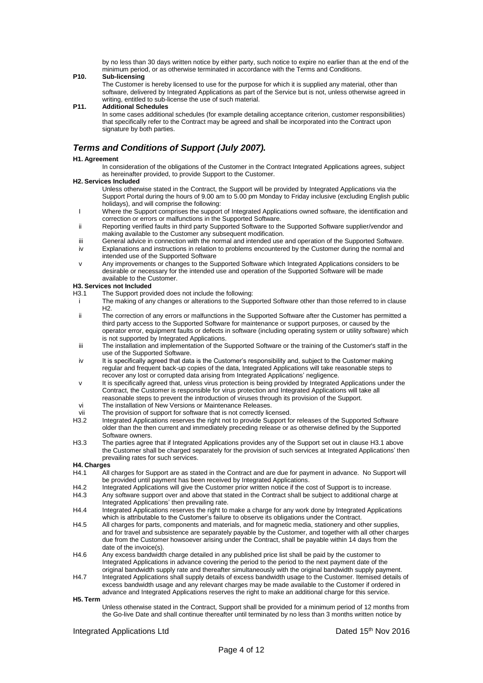by no less than 30 days written notice by either party, such notice to expire no earlier than at the end of the minimum period, or as otherwise terminated in accordance with the Terms and Conditions.

#### **P10. Sub-licensing**

The Customer is hereby licensed to use for the purpose for which it is supplied any material, other than software, delivered by Integrated Applications as part of the Service but is not, unless otherwise agreed in writing, entitled to sub-license the use of such material.

#### **P11. Additional Schedules**

In some cases additional schedules (for example detailing acceptance criterion, customer responsibilities) that specifically refer to the Contract may be agreed and shall be incorporated into the Contract upon signature by both parties.

# *Terms and Conditions of Support (July 2007).*

### **H1. Agreement**

In consideration of the obligations of the Customer in the Contract Integrated Applications agrees, subject as hereinafter provided, to provide Support to the Customer.

## **H2. Services Included**

- Unless otherwise stated in the Contract, the Support will be provided by Integrated Applications via the Support Portal during the hours of 9.00 am to 5.00 pm Monday to Friday inclusive (excluding English public holidays), and will comprise the following:
- I Where the Support comprises the support of Integrated Applications owned software, the identification and correction or errors or malfunctions in the Supported Software.
- ii Reporting verified faults in third party Supported Software to the Supported Software supplier/vendor and making available to the Customer any subsequent modification.
- iii General advice in connection with the normal and intended use and operation of the Supported Software.
- iv Explanations and instructions in relation to problems encountered by the Customer during the normal and intended use of the Supported Software
- v Any improvements or changes to the Supported Software which Integrated Applications considers to be desirable or necessary for the intended use and operation of the Supported Software will be made available to the Customer.

# **H3. Services not Included**

- The Support provided does not include the following:
- i The making of any changes or alterations to the Supported Software other than those referred to in clause H2.
- ii The correction of any errors or malfunctions in the Supported Software after the Customer has permitted a third party access to the Supported Software for maintenance or support purposes, or caused by the operator error, equipment faults or defects in software (including operating system or utility software) which is not supported by Integrated Applications.
- iii The installation and implementation of the Supported Software or the training of the Customer's staff in the use of the Supported Software.
- iv It is specifically agreed that data is the Customer's responsibility and, subject to the Customer making regular and frequent back-up copies of the data, Integrated Applications will take reasonable steps to recover any lost or corrupted data arising from Integrated Applications' negligence.
- v It is specifically agreed that, unless virus protection is being provided by Integrated Applications under the Contract, the Customer is responsible for virus protection and Integrated Applications will take all reasonable steps to prevent the introduction of viruses through its provision of the Support.
- vi The installation of New Versions or Maintenance Releases.
- vii The provision of support for software that is not correctly licensed.<br>H3.2 Integrated Applications reserves the right not to provide Support for
- Integrated Applications reserves the right not to provide Support for releases of the Supported Software older than the then current and immediately preceding release or as otherwise defined by the Supported Software owners.
- H3.3 The parties agree that if Integrated Applications provides any of the Support set out in clause H3.1 above the Customer shall be charged separately for the provision of such services at Integrated Applications' then prevailing rates for such services.

## **H4. Charges**

- H4.1 All charges for Support are as stated in the Contract and are due for payment in advance. No Support will be provided until payment has been received by Integrated Applications.
- H4.2 Integrated Applications will give the Customer prior written notice if the cost of Support is to increase. H4.3 Any software support over and above that stated in the Contract shall be subject to additional charge at
- Integrated Applications' then prevailing rate. H4.4 Integrated Applications reserves the right to make a charge for any work done by Integrated Applications
- which is attributable to the Customer's failure to observe its obligations under the Contract.
- H4.5 All charges for parts, components and materials, and for magnetic media, stationery and other supplies, and for travel and subsistence are separately payable by the Customer, and together with all other charges due from the Customer howsoever arising under the Contract, shall be payable within 14 days from the date of the invoice(s).
- H4.6 Any excess bandwidth charge detailed in any published price list shall be paid by the customer to Integrated Applications in advance covering the period to the period to the next payment date of the original bandwidth supply rate and thereafter simultaneously with the original bandwidth supply payment.
- H4.7 Integrated Applications shall supply details of excess bandwidth usage to the Customer. Itemised details of excess bandwidth usage and any relevant charges may be made available to the Customer if ordered in advance and Integrated Applications reserves the right to make an additional charge for this service.

**H5. Term**

Unless otherwise stated in the Contract, Support shall be provided for a minimum period of 12 months from the Go-live Date and shall continue thereafter until terminated by no less than 3 months written notice by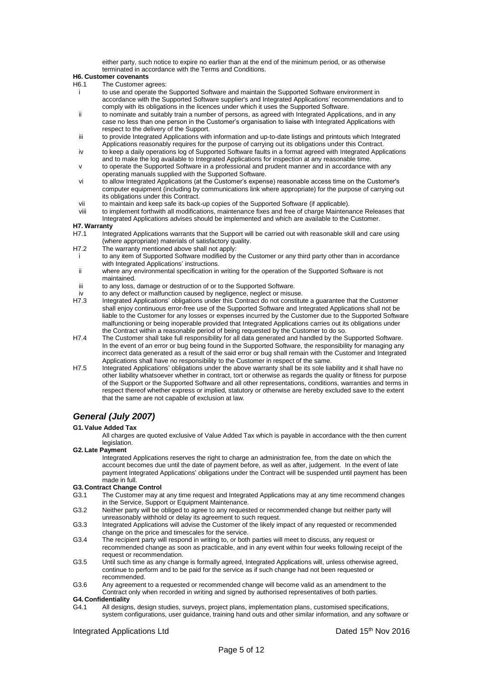either party, such notice to expire no earlier than at the end of the minimum period, or as otherwise terminated in accordance with the Terms and Conditions.

# **H6. Customer covenants**

- The Customer agrees:
- i to use and operate the Supported Software and maintain the Supported Software environment in accordance with the Supported Software supplier's and Integrated Applications' recommendations and to comply with its obligations in the licences under which it uses the Supported Software.
- ii to nominate and suitably train a number of persons, as agreed with Integrated Applications, and in any case no less than one person in the Customer's organisation to liaise with Integrated Applications with respect to the delivery of the Support.
- iii to provide Integrated Applications with information and up-to-date listings and printouts which Integrated Applications reasonably requires for the purpose of carrying out its obligations under this Contract.
- iv to keep a daily operations log of Supported Software faults in a format agreed with Integrated Applications and to make the log available to Integrated Applications for inspection at any reasonable time.
- to operate the Supported Software in a professional and prudent manner and in accordance with any operating manuals supplied with the Supported Software.
- vi to allow Integrated Applications (at the Customer's expense) reasonable access time on the Customer's computer equipment (including by communications link where appropriate) for the purpose of carrying out its obligations under this Contract.
- vii to maintain and keep safe its back-up copies of the Supported Software (if applicable).<br>viii to implement forthwith all modifications maintenance fixes and free of charge Maintena
- to implement forthwith all modifications, maintenance fixes and free of charge Maintenance Releases that Integrated Applications advises should be implemented and which are available to the Customer.

# **H7. Warranty**

- H7.1 Integrated Applications warrants that the Support will be carried out with reasonable skill and care using (where appropriate) materials of satisfactory quality.
- H7.2 The warranty mentioned above shall not apply:
- i to any item of Supported Software modified by the Customer or any third party other than in accordance with Integrated Applications' instructions.
- ii where any environmental specification in writing for the operation of the Supported Software is not maintained.
- iii to any loss, damage or destruction of or to the Supported Software.
- iv to any defect or malfunction caused by negligence, neglect or misuse.<br>H7.3 Integrated Applications' obligations under this Contract do not constitu
- Integrated Applications' obligations under this Contract do not constitute a guarantee that the Customer shall enjoy continuous error-free use of the Supported Software and Integrated Applications shall not be liable to the Customer for any losses or expenses incurred by the Customer due to the Supported Software malfunctioning or being inoperable provided that Integrated Applications carries out its obligations under the Contract within a reasonable period of being requested by the Customer to do so.
- H7.4 The Customer shall take full responsibility for all data generated and handled by the Supported Software. In the event of an error or bug being found in the Supported Software, the responsibility for managing any incorrect data generated as a result of the said error or bug shall remain with the Customer and Integrated Applications shall have no responsibility to the Customer in respect of the same.
- H7.5 Integrated Applications' obligations under the above warranty shall be its sole liability and it shall have no other liability whatsoever whether in contract, tort or otherwise as regards the quality or fitness for purpose of the Support or the Supported Software and all other representations, conditions, warranties and terms in respect thereof whether express or implied, statutory or otherwise are hereby excluded save to the extent that the same are not capable of exclusion at law.

# *General (July 2007)*

### **G1.Value Added Tax**

All charges are quoted exclusive of Value Added Tax which is payable in accordance with the then current legislation.

### **G2. Late Payment**

Integrated Applications reserves the right to charge an administration fee, from the date on which the account becomes due until the date of payment before, as well as after, judgement. In the event of late payment Integrated Applications' obligations under the Contract will be suspended until payment has been made in full.

### **G3. Contract Change Control**

- G3.1 The Customer may at any time request and Integrated Applications may at any time recommend changes in the Service, Support or Equipment Maintenance.
- G3.2 Neither party will be obliged to agree to any requested or recommended change but neither party will unreasonably withhold or delay its agreement to such request.
- G3.3 Integrated Applications will advise the Customer of the likely impact of any requested or recommended change on the price and timescales for the service.
- G3.4 The recipient party will respond in writing to, or both parties will meet to discuss, any request or recommended change as soon as practicable, and in any event within four weeks following receipt of the request or recommendation.
- G3.5 Until such time as any change is formally agreed, Integrated Applications will, unless otherwise agreed, continue to perform and to be paid for the service as if such change had not been requested or recommended.

G3.6 Any agreement to a requested or recommended change will become valid as an amendment to the Contract only when recorded in writing and signed by authorised representatives of both parties.

## **G4. Confidentiality**

G4.1 All designs, design studies, surveys, project plans, implementation plans, customised specifications, system configurations, user guidance, training hand outs and other similar information, and any software or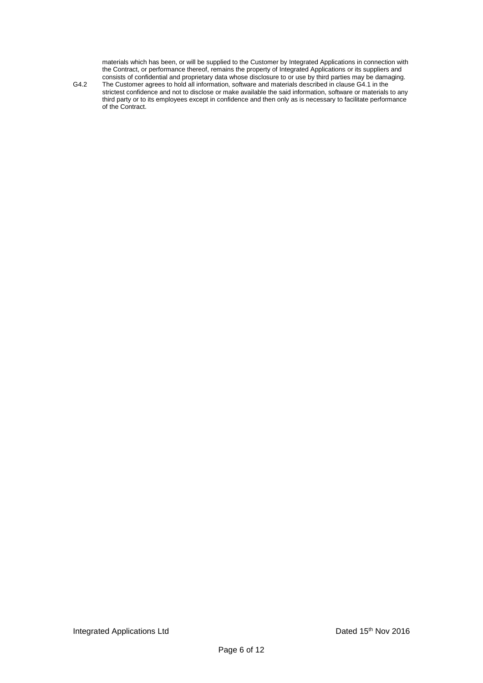materials which has been, or will be supplied to the Customer by Integrated Applications in connection with the Contract, or performance thereof, remains the property of Integrated Applications or its suppliers and consists of confidential and proprietary data whose disclosure to or use by third parties may be damaging.

G4.2 The Customer agrees to hold all information, software and materials described in clause G4.1 in the strictest confidence and not to disclose or make available the said information, software or materials to any third party or to its employees except in confidence and then only as is necessary to facilitate performance of the Contract.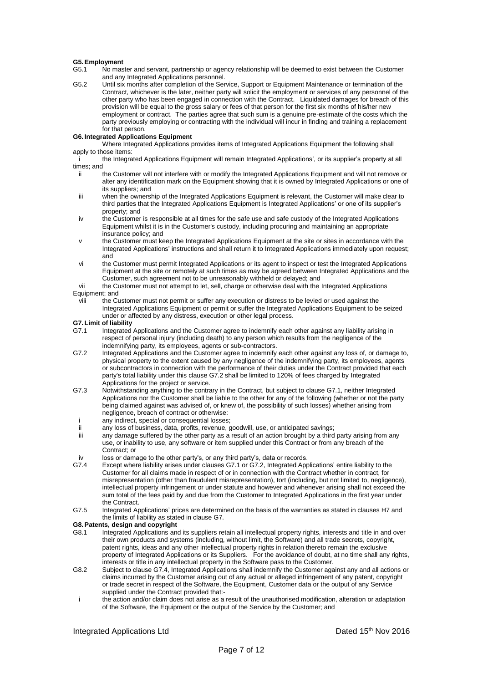#### **G5.Employment**

- G5.1 No master and servant, partnership or agency relationship will be deemed to exist between the Customer and any Integrated Applications personnel.
- G5.2 Until six months after completion of the Service, Support or Equipment Maintenance or termination of the Contract, whichever is the later, neither party will solicit the employment or services of any personnel of the other party who has been engaged in connection with the Contract. Liquidated damages for breach of this provision will be equal to the gross salary or fees of that person for the first six months of his/her new employment or contract. The parties agree that such sum is a genuine pre-estimate of the costs which the party previously employing or contracting with the individual will incur in finding and training a replacement for that person.

### **G6. Integrated Applications Equipment**

Where Integrated Applications provides items of Integrated Applications Equipment the following shall apply to those items:

the Integrated Applications Equipment will remain Integrated Applications', or its supplier's property at all times; and

- ii the Customer will not interfere with or modify the Integrated Applications Equipment and will not remove or alter any identification mark on the Equipment showing that it is owned by Integrated Applications or one of its suppliers; and
- iii when the ownership of the Integrated Applications Equipment is relevant, the Customer will make clear to third parties that the Integrated Applications Equipment is Integrated Applications' or one of its supplier's property; and
- iv the Customer is responsible at all times for the safe use and safe custody of the Integrated Applications Equipment whilst it is in the Customer's custody, including procuring and maintaining an appropriate insurance policy; and
- the Customer must keep the Integrated Applications Equipment at the site or sites in accordance with the Integrated Applications' instructions and shall return it to Integrated Applications immediately upon request; and
- vi the Customer must permit Integrated Applications or its agent to inspect or test the Integrated Applications Equipment at the site or remotely at such times as may be agreed between Integrated Applications and the Customer, such agreement not to be unreasonably withheld or delayed; and
- vii the Customer must not attempt to let, sell, charge or otherwise deal with the Integrated Applications Equipment; and
- viii the Customer must not permit or suffer any execution or distress to be levied or used against the Integrated Applications Equipment or permit or suffer the Integrated Applications Equipment to be seized under or affected by any distress, execution or other legal process.

### **G7. Limit of liability**

- G7.1 Integrated Applications and the Customer agree to indemnify each other against any liability arising in respect of personal injury (including death) to any person which results from the negligence of the indemnifying party, its employees, agents or sub-contractors.
- G7.2 Integrated Applications and the Customer agree to indemnify each other against any loss of, or damage to, physical property to the extent caused by any negligence of the indemnifying party, its employees, agents or subcontractors in connection with the performance of their duties under the Contract provided that each party's total liability under this clause G7.2 shall be limited to 120% of fees charged by Integrated Applications for the project or service.
- G7.3 Notwithstanding anything to the contrary in the Contract, but subject to clause G7.1, neither Integrated Applications nor the Customer shall be liable to the other for any of the following (whether or not the party being claimed against was advised of, or knew of, the possibility of such losses) whether arising from negligence, breach of contract or otherwise:
- i any indirect, special or consequential losses;<br>ii any loss of business, data profits, revenue of
- ii any loss of business, data, profits, revenue, goodwill, use, or anticipated savings;<br>iii any damage suffered by the other party as a result of an action brought by a third
- any damage suffered by the other party as a result of an action brought by a third party arising from any use, or inability to use, any software or item supplied under this Contract or from any breach of the Contract; or
- iv loss or damage to the other party's, or any third party's, data or records.
- Except where liability arises under clauses G7.1 or G7.2, Integrated Applications' entire liability to the Customer for all claims made in respect of or in connection with the Contract whether in contract, for misrepresentation (other than fraudulent misrepresentation), tort (including, but not limited to, negligence), intellectual property infringement or under statute and however and whenever arising shall not exceed the sum total of the fees paid by and due from the Customer to Integrated Applications in the first year under the Contract.
- G7.5 Integrated Applications' prices are determined on the basis of the warranties as stated in clauses H7 and the limits of liability as stated in clause G7.

### **G8.Patents, design and copyright**

- G8.1 Integrated Applications and its suppliers retain all intellectual property rights, interests and title in and over their own products and systems (including, without limit, the Software) and all trade secrets, copyright, patent rights, ideas and any other intellectual property rights in relation thereto remain the exclusive property of Integrated Applications or its Suppliers. For the avoidance of doubt, at no time shall any rights, interests or title in any intellectual property in the Software pass to the Customer.
- G8.2 Subject to clause G7.4, Integrated Applications shall indemnify the Customer against any and all actions or claims incurred by the Customer arising out of any actual or alleged infringement of any patent, copyright or trade secret in respect of the Software, the Equipment, Customer data or the output of any Service supplied under the Contract provided that:-
- i the action and/or claim does not arise as a result of the unauthorised modification, alteration or adaptation of the Software, the Equipment or the output of the Service by the Customer; and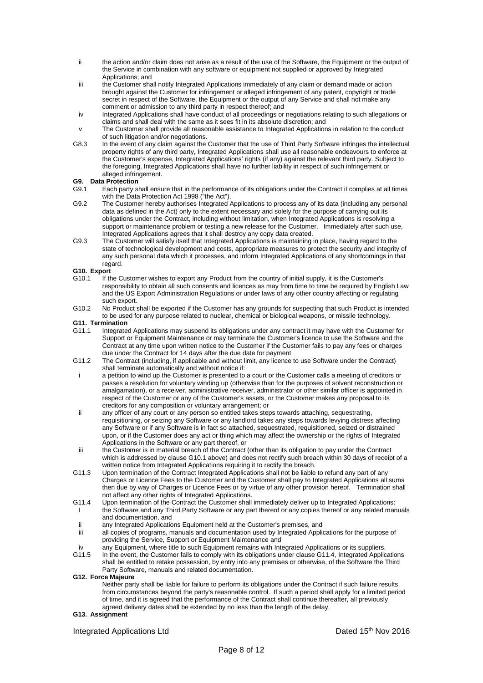- ii the action and/or claim does not arise as a result of the use of the Software, the Equipment or the output of the Service in combination with any software or equipment not supplied or approved by Integrated Applications; and
- iii the Customer shall notify Integrated Applications immediately of any claim or demand made or action brought against the Customer for infringement or alleged infringement of any patent, copyright or trade secret in respect of the Software, the Equipment or the output of any Service and shall not make any comment or admission to any third party in respect thereof; and
- iv Integrated Applications shall have conduct of all proceedings or negotiations relating to such allegations or claims and shall deal with the same as it sees fit in its absolute discretion; and
- v The Customer shall provide all reasonable assistance to Integrated Applications in relation to the conduct of such litigation and/or negotiations.
- G8.3 In the event of any claim against the Customer that the use of Third Party Software infringes the intellectual property rights of any third party, Integrated Applications shall use all reasonable endeavours to enforce at the Customer's expense, Integrated Applications' rights (if any) against the relevant third party. Subject to the foregoing, Integrated Applications shall have no further liability in respect of such infringement or alleged infringement.

# **G9. Data Protection**

- Each party shall ensure that in the performance of its obligations under the Contract it complies at all times with the Data Protection Act 1998 ("the Act").
- G9.2 The Customer hereby authorises Integrated Applications to process any of its data (including any personal data as defined in the Act) only to the extent necessary and solely for the purpose of carrying out its obligations under the Contract, including without limitation, when Integrated Applications is resolving a support or maintenance problem or testing a new release for the Customer. Immediately after such use, Integrated Applications agrees that it shall destroy any copy data created.
- G9.3 The Customer will satisfy itself that Integrated Applications is maintaining in place, having regard to the state of technological development and costs, appropriate measures to protect the security and integrity of any such personal data which it processes, and inform Integrated Applications of any shortcomings in that regard.

# **G10. Export**<br>G10.1 If the

- If the Customer wishes to export any Product from the country of initial supply, it is the Customer's responsibility to obtain all such consents and licences as may from time to time be required by English Law and the US Export Administration Regulations or under laws of any other country affecting or regulating such export.
- G10.2 No Product shall be exported if the Customer has any grounds for suspecting that such Product is intended to be used for any purpose related to nuclear, chemical or biological weapons, or missile technology.

## **G11. Termination**

- G11.1 Integrated Applications may suspend its obligations under any contract it may have with the Customer for Support or Equipment Maintenance or may terminate the Customer's licence to use the Software and the Contract at any time upon written notice to the Customer if the Customer fails to pay any fees or charges due under the Contract for 14 days after the due date for payment.
- G11.2 The Contract (including, if applicable and without limit, any licence to use Software under the Contract) shall terminate automatically and without notice if:
- i a petition to wind up the Customer is presented to a court or the Customer calls a meeting of creditors or passes a resolution for voluntary winding up (otherwise than for the purposes of solvent reconstruction or amalgamation), or a receiver, administrative receiver, administrator or other similar officer is appointed in respect of the Customer or any of the Customer's assets, or the Customer makes any proposal to its creditors for any composition or voluntary arrangement; or
- ii any officer of any court or any person so entitled takes steps towards attaching, sequestrating, requisitioning, or seizing any Software or any landlord takes any steps towards levying distress affecting any Software or if any Software is in fact so attached, sequestrated, requisitioned, seized or distrained upon, or if the Customer does any act or thing which may affect the ownership or the rights of Integrated Applications in the Software or any part thereof, or
- iii the Customer is in material breach of the Contract (other than its obligation to pay under the Contract which is addressed by clause G10.1 above) and does not rectify such breach within 30 days of receipt of a written notice from Integrated Applications requiring it to rectify the breach.
- G11.3 Upon termination of the Contract Integrated Applications shall not be liable to refund any part of any Charges or Licence Fees to the Customer and the Customer shall pay to Integrated Applications all sums then due by way of Charges or Licence Fees or by virtue of any other provision hereof. Termination shall not affect any other rights of Integrated Applications.
- G11.4 Upon termination of the Contract the Customer shall immediately deliver up to Integrated Applications: the Software and any Third Party Software or any part thereof or any copies thereof or any related manuals and documentation, and
- ii any Integrated Applications Equipment held at the Customer's premises, and
- iii all copies of programs, manuals and documentation used by Integrated Applications for the purpose of providing the Service, Support or Equipment Maintenance and
- iv any Equipment, where title to such Equipment remains with Integrated Applications or its suppliers.<br>G11.5 In the event, the Customer fails to comply with its obligations under clause G11.4. Integrated Applic
- In the event, the Customer fails to comply with its obligations under clause G11.4, Integrated Applications shall be entitled to retake possession, by entry into any premises or otherwise, of the Software the Third Party Software, manuals and related documentation.

### **G12. Force Majeure**

Neither party shall be liable for failure to perform its obligations under the Contract if such failure results from circumstances beyond the party's reasonable control. If such a period shall apply for a limited period of time, and it is agreed that the performance of the Contract shall continue thereafter, all previously agreed delivery dates shall be extended by no less than the length of the delay.

### **G13. Assignment**

Integrated Applications Ltd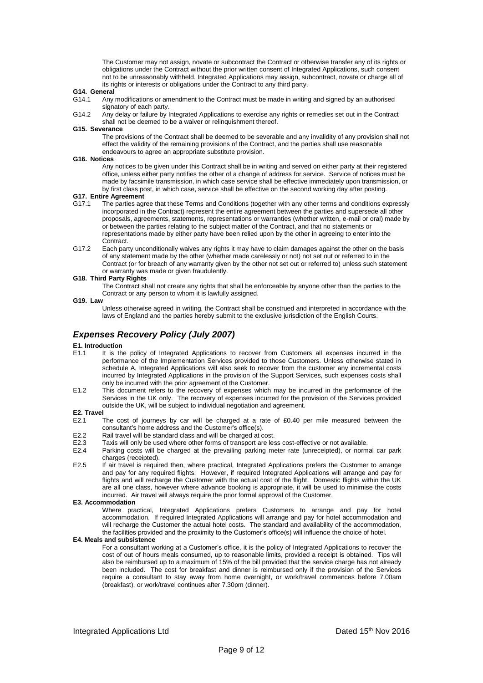The Customer may not assign, novate or subcontract the Contract or otherwise transfer any of its rights or obligations under the Contract without the prior written consent of Integrated Applications, such consent not to be unreasonably withheld. Integrated Applications may assign, subcontract, novate or charge all of its rights or interests or obligations under the Contract to any third party.

#### **G14. General**

- G14.1 Any modifications or amendment to the Contract must be made in writing and signed by an authorised signatory of each party.
- G14.2 Any delay or failure by Integrated Applications to exercise any rights or remedies set out in the Contract shall not be deemed to be a waiver or relinquishment thereof.

#### **G15. Severance**

The provisions of the Contract shall be deemed to be severable and any invalidity of any provision shall not effect the validity of the remaining provisions of the Contract, and the parties shall use reasonable endeavours to agree an appropriate substitute provision.

#### **G16. Notices**

Any notices to be given under this Contract shall be in writing and served on either party at their registered office, unless either party notifies the other of a change of address for service. Service of notices must be made by facsimile transmission, in which case service shall be effective immediately upon transmission, or by first class post, in which case, service shall be effective on the second working day after posting.

#### **G17. Entire Agreement**

- G17.1 The parties agree that these Terms and Conditions (together with any other terms and conditions expressly incorporated in the Contract) represent the entire agreement between the parties and supersede all other proposals, agreements, statements, representations or warranties (whether written, e-mail or oral) made by or between the parties relating to the subject matter of the Contract, and that no statements or representations made by either party have been relied upon by the other in agreeing to enter into the Contract.
- G17.2 Each party unconditionally waives any rights it may have to claim damages against the other on the basis of any statement made by the other (whether made carelessly or not) not set out or referred to in the Contract (or for breach of any warranty given by the other not set out or referred to) unless such statement or warranty was made or given fraudulently.

### **G18. Third Party Rights**

The Contract shall not create any rights that shall be enforceable by anyone other than the parties to the Contract or any person to whom it is lawfully assigned.

### **G19. Law**

Unless otherwise agreed in writing, the Contract shall be construed and interpreted in accordance with the laws of England and the parties hereby submit to the exclusive jurisdiction of the English Courts.

# *Expenses Recovery Policy (July 2007)*

# **E1. Introduction**<br>**E1.1** It is th

- It is the policy of Integrated Applications to recover from Customers all expenses incurred in the performance of the Implementation Services provided to those Customers. Unless otherwise stated in schedule A, Integrated Applications will also seek to recover from the customer any incremental costs incurred by Integrated Applications in the provision of the Support Services, such expenses costs shall only be incurred with the prior agreement of the Customer.
- E1.2 This document refers to the recovery of expenses which may be incurred in the performance of the Services in the UK only. The recovery of expenses incurred for the provision of the Services provided outside the UK, will be subject to individual negotiation and agreement.

## **E2. Travel**

- E2.1 The cost of journeys by car will be charged at a rate of £0.40 per mile measured between the consultant's home address and the Customer's office(s).
- E2.2 Rail travel will be standard class and will be charged at cost.
- E2.3 Taxis will only be used where other forms of transport are less cost-effective or not available.
- E2.4 Parking costs will be charged at the prevailing parking meter rate (unreceipted), or normal car park charges (receipted).
- E2.5 If air travel is required then, where practical, Integrated Applications prefers the Customer to arrange and pay for any required flights. However, if required Integrated Applications will arrange and pay for flights and will recharge the Customer with the actual cost of the flight. Domestic flights within the UK are all one class, however where advance booking is appropriate, it will be used to minimise the costs incurred. Air travel will always require the prior formal approval of the Customer.

#### **E3. Accommodation**

Where practical, Integrated Applications prefers Customers to arrange and pay for hotel accommodation. If required Integrated Applications will arrange and pay for hotel accommodation and will recharge the Customer the actual hotel costs. The standard and availability of the accommodation, the facilities provided and the proximity to the Customer's office(s) will influence the choice of hotel.

#### **E4. Meals and subsistence**

For a consultant working at a Customer's office, it is the policy of Integrated Applications to recover the cost of out of hours meals consumed, up to reasonable limits, provided a receipt is obtained. Tips will also be reimbursed up to a maximum of 15% of the bill provided that the service charge has not already been included. The cost for breakfast and dinner is reimbursed only if the provision of the Services require a consultant to stay away from home overnight, or work/travel commences before 7.00am (breakfast), or work/travel continues after 7.30pm (dinner).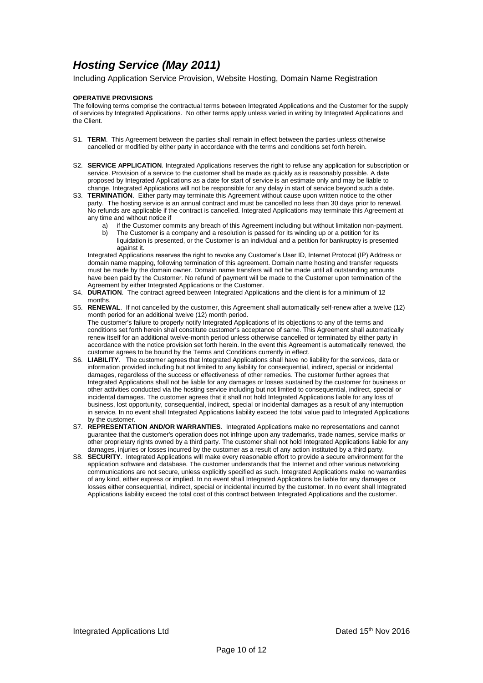# *Hosting Service (May 2011)*

Including Application Service Provision, Website Hosting, Domain Name Registration

## **OPERATIVE PROVISIONS**

The following terms comprise the contractual terms between Integrated Applications and the Customer for the supply of services by Integrated Applications. No other terms apply unless varied in writing by Integrated Applications and the Client.

- S1. **TERM**. This Agreement between the parties shall remain in effect between the parties unless otherwise cancelled or modified by either party in accordance with the terms and conditions set forth herein.
- S2. **SERVICE APPLICATION**. Integrated Applications reserves the right to refuse any application for subscription or service. Provision of a service to the customer shall be made as quickly as is reasonably possible. A date proposed by Integrated Applications as a date for start of service is an estimate only and may be liable to change. Integrated Applications will not be responsible for any delay in start of service beyond such a date.
- S3. **TERMINATION**. Either party may terminate this Agreement without cause upon written notice to the other party. The hosting service is an annual contract and must be cancelled no less than 30 days prior to renewal. No refunds are applicable if the contract is cancelled. Integrated Applications may terminate this Agreement at any time and without notice if
	- a) if the Customer commits any breach of this Agreement including but without limitation non-payment.
	- b) The Customer is a company and a resolution is passed for its winding up or a petition for its liquidation is presented, or the Customer is an individual and a petition for bankruptcy is presented against it.

Integrated Applications reserves the right to revoke any Customer's User ID, Internet Protocal (IP) Address or domain name mapping, following termination of this agreement. Domain name hosting and transfer requests must be made by the domain owner. Domain name transfers will not be made until all outstanding amounts have been paid by the Customer. No refund of payment will be made to the Customer upon termination of the Agreement by either Integrated Applications or the Customer.

- S4. **DURATION**. The contract agreed between Integrated Applications and the client is for a minimum of 12 months.
- S5. **RENEWAL**. If not cancelled by the customer, this Agreement shall automatically self-renew after a twelve (12) month period for an additional twelve (12) month period. The customer's failure to properly notify Integrated Applications of its objections to any of the terms and conditions set forth herein shall constitute customer's acceptance of same. This Agreement shall automatically renew itself for an additional twelve-month period unless otherwise cancelled or terminated by either party in accordance with the notice provision set forth herein. In the event this Agreement is automatically renewed, the customer agrees to be bound by the Terms and Conditions currently in effect.
- S6. **LIABILITY**. The customer agrees that Integrated Applications shall have no liability for the services, data or information provided including but not limited to any liability for consequential, indirect, special or incidental damages, regardless of the success or effectiveness of other remedies. The customer further agrees that Integrated Applications shall not be liable for any damages or losses sustained by the customer for business or other activities conducted via the hosting service including but not limited to consequential, indirect, special or incidental damages. The customer agrees that it shall not hold Integrated Applications liable for any loss of business, lost opportunity, consequential, indirect, special or incidental damages as a result of any interruption in service. In no event shall Integrated Applications liability exceed the total value paid to Integrated Applications by the customer.
- S7. **REPRESENTATION AND/OR WARRANTIES**. Integrated Applications make no representations and cannot guarantee that the customer's operation does not infringe upon any trademarks, trade names, service marks or other proprietary rights owned by a third party. The customer shall not hold Integrated Applications liable for any damages, injuries or losses incurred by the customer as a result of any action instituted by a third party.
- S8. **SECURITY**. Integrated Applications will make every reasonable effort to provide a secure environment for the application software and database. The customer understands that the Internet and other various networking communications are not secure, unless explicitly specified as such. Integrated Applications make no warranties of any kind, either express or implied. In no event shall Integrated Applications be liable for any damages or losses either consequential, indirect, special or incidental incurred by the customer. In no event shall Integrated Applications liability exceed the total cost of this contract between Integrated Applications and the customer.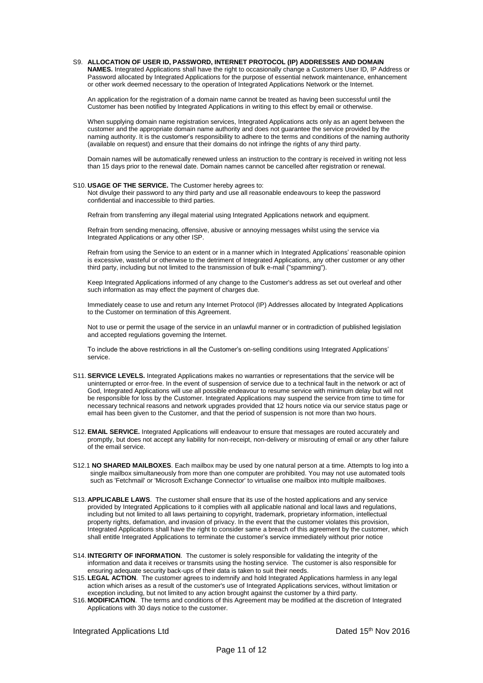#### S9. **ALLOCATION OF USER ID, PASSWORD, INTERNET PROTOCOL (IP) ADDRESSES AND DOMAIN**

**NAMES.** Integrated Applications shall have the right to occasionally change a Customers User ID, IP Address or Password allocated by Integrated Applications for the purpose of essential network maintenance, enhancement or other work deemed necessary to the operation of Integrated Applications Network or the Internet.

An application for the registration of a domain name cannot be treated as having been successful until the Customer has been notified by Integrated Applications in writing to this effect by email or otherwise.

When supplying domain name registration services, Integrated Applications acts only as an agent between the customer and the appropriate domain name authority and does not guarantee the service provided by the naming authority. It is the customer's responsibility to adhere to the terms and conditions of the naming authority (available on request) and ensure that their domains do not infringe the rights of any third party.

Domain names will be automatically renewed unless an instruction to the contrary is received in writing not less than 15 days prior to the renewal date. Domain names cannot be cancelled after registration or renewal.

# S10. **USAGE OF THE SERVICE.** The Customer hereby agrees to:

Not divulge their password to any third party and use all reasonable endeavours to keep the password confidential and inaccessible to third parties.

Refrain from transferring any illegal material using Integrated Applications network and equipment.

Refrain from sending menacing, offensive, abusive or annoying messages whilst using the service via Integrated Applications or any other ISP.

Refrain from using the Service to an extent or in a manner which in Integrated Applications' reasonable opinion is excessive, wasteful or otherwise to the detriment of Integrated Applications, any other customer or any other third party, including but not limited to the transmission of bulk e-mail ("spamming").

Keep Integrated Applications informed of any change to the Customer's address as set out overleaf and other such information as may effect the payment of charges due.

Immediately cease to use and return any Internet Protocol (IP) Addresses allocated by Integrated Applications to the Customer on termination of this Agreement.

Not to use or permit the usage of the service in an unlawful manner or in contradiction of published legislation and accepted regulations governing the Internet.

To include the above restrictions in all the Customer's on-selling conditions using Integrated Applications' service.

- S11. **SERVICE LEVELS.** Integrated Applications makes no warranties or representations that the service will be uninterrupted or error-free. In the event of suspension of service due to a technical fault in the network or act of God, Integrated Applications will use all possible endeavour to resume service with minimum delay but will not be responsible for loss by the Customer. Integrated Applications may suspend the service from time to time for necessary technical reasons and network upgrades provided that 12 hours notice via our service status page or email has been given to the Customer, and that the period of suspension is not more than two hours.
- S12. **EMAIL SERVICE.** Integrated Applications will endeavour to ensure that messages are routed accurately and promptly, but does not accept any liability for non-receipt, non-delivery or misrouting of email or any other failure of the email service.
- S12.1 **NO SHARED MAILBOXES**. Each mailbox may be used by one natural person at a time. Attempts to log into a single mailbox simultaneously from more than one computer are prohibited. You may not use automated tools such as 'Fetchmail' or 'Microsoft Exchange Connector' to virtualise one mailbox into multiple mailboxes.
- S13. **APPLICABLE LAWS**. The customer shall ensure that its use of the hosted applications and any service provided by Integrated Applications to it complies with all applicable national and local laws and regulations, including but not limited to all laws pertaining to copyright, trademark, proprietary information, intellectual property rights, defamation, and invasion of privacy. In the event that the customer violates this provision, Integrated Applications shall have the right to consider same a breach of this agreement by the customer, which shall entitle Integrated Applications to terminate the customer's service immediately without prior notice
- S14. **INTEGRITY OF INFORMATION**. The customer is solely responsible for validating the integrity of the information and data it receives or transmits using the hosting service. The customer is also responsible for ensuring adequate security back-ups of their data is taken to suit their needs.
- S15. **LEGAL ACTION**. The customer agrees to indemnify and hold Integrated Applications harmless in any legal action which arises as a result of the customer's use of Integrated Applications services, without limitation or exception including, but not limited to any action brought against the customer by a third party.
- S16. **MODIFICATION**. The terms and conditions of this Agreement may be modified at the discretion of Integrated Applications with 30 days notice to the customer.